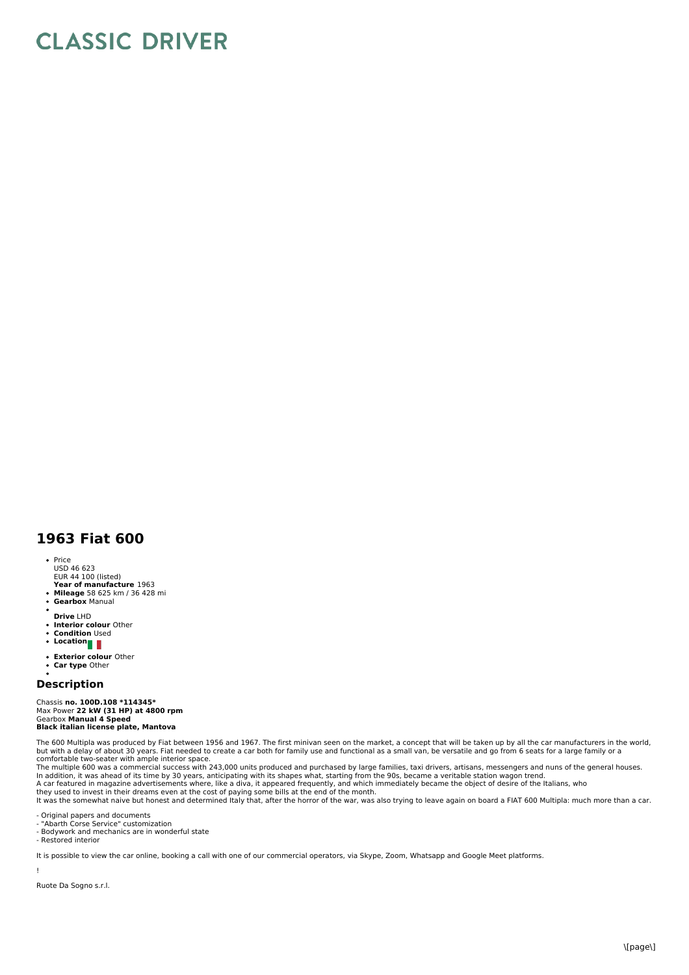## **CLASSIC DRIVER**

## **1963 Fiat 600**

- Price
- USD 46 623 EUR 44 100 (listed)
- **Year of manufacture** 1963<br>**Mileage** 58 625 km / 36 428 mi<br>**Gearbox** Manual
- 
- 
- **Drive** LHD
- $\bullet$ **Interior colour** Other **Condition** Used  $\ddot{\phantom{a}}$
- 
- Location
- **Exterior colour** Other
- **Car type** Other

## **Description**

Chassis **no. 100D.108 \*114345\*** Max Power **22 kW (31 HP) at 4800 rpm** Gearbox **Manual 4 Speed Black italian license plate, Mantova**

The 600 Multipla was produced by Fiat between 1956 and 1967. The first minivan seen on the market, a concept that will be taken up by all the car manufacturers in the world but with a delay of about 30 years. Fiat needed to create a car both for family use and functional as a small van, be versatile and go from 6 seats for a large family or a<br>comfortable two-seater with ample interior space.<br>

In addition, it was ahead of its time by 30 years, anticipating with its shapes what, starting from the 90s, became a veritable station wagon trend.<br>A car featured in magazine advertisements where, like a diva, it appeared

- Original papers and documents

- "Abarth Corse Service" customization - Bodywork and mechanics are in wonderful state

- Restored interior

It is possible to view the car online, booking a call with one of our commercial operators, via Skype, Zoom, Whatsapp and Google Meet platforms.

!

Ruote Da Sogno s.r.l.